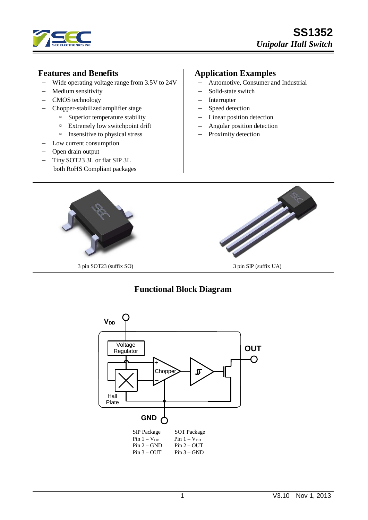

## **Features and Benefits**

- Wide operating voltage range from 3.5V to 24V
- Medium sensitivity
- CMOS technology
- Chopper-stabilized amplifier stage
	- <sup>n</sup> Superior temperature stability
	- Extremely low switchpoint drift
	- $\Box$  Insensitive to physical stress
- Low current consumption
- Open drain output
- Tiny SOT23 3L or flat SIP 3L both RoHS Compliant packages

# **Application Examples**

- Automotive, Consumer and Industrial
- Solid-state switch
- Interrupter
- Speed detection
- Linear position detection
- Angular position detection
- Proximity detection



# **Functional Block Diagram**

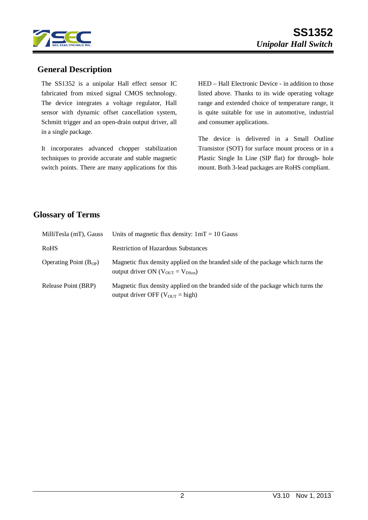

## **General Description**

The SS1352 is a unipolar Hall effect sensor IC fabricated from mixed signal CMOS technology. The device integrates a voltage regulator, Hall sensor with dynamic offset cancellation system, Schmitt trigger and an open-drain output driver, all in a single package.

It incorporates advanced chopper stabilization techniques to provide accurate and stable magnetic switch points. There are many applications for this HED – Hall Electronic Device - in addition to those listed above. Thanks to its wide operating voltage range and extended choice of temperature range, it is quite suitable for use in automotive, industrial and consumer applications.

The device is delivered in a Small Outline Transistor (SOT) for surface mount process or in a Plastic Single In Line (SIP flat) for through- hole mount. Both 3-lead packages are RoHS compliant.

# **Glossary of Terms**

| MilliTesla (mT), Gauss     | Units of magnetic flux density: $1mT = 10$ Gauss                                                                                            |
|----------------------------|---------------------------------------------------------------------------------------------------------------------------------------------|
| <b>RoHS</b>                | <b>Restriction of Hazardous Substances</b>                                                                                                  |
| Operating Point $(B_{OP})$ | Magnetic flux density applied on the branded side of the package which turns the<br>output driver ON ( $V_{\text{OUT}} = V_{\text{DSon}}$ ) |
| Release Point (BRP)        | Magnetic flux density applied on the branded side of the package which turns the<br>output driver OFF ( $V_{\text{OUT}}$ = high)            |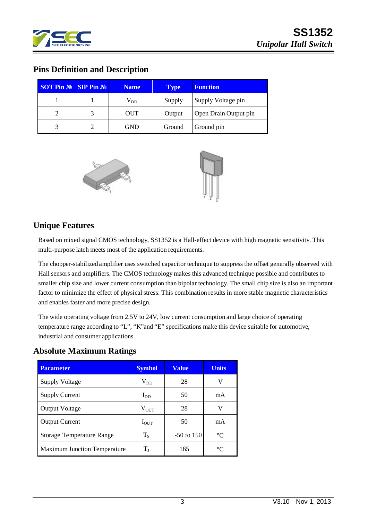

# **Pins Definition and Description**

| <b>SOT Pin <math>\mathbb{N}_2</math> SIP Pin <math>\mathbb{N}_2</math></b> | <b>Name</b>  | <b>Type</b> | <b>Function</b>       |
|----------------------------------------------------------------------------|--------------|-------------|-----------------------|
|                                                                            | $\rm V_{DD}$ | Supply      | Supply Voltage pin    |
| $\overline{2}$                                                             | <b>OUT</b>   | Output      | Open Drain Output pin |
| 3                                                                          | <b>GND</b>   | Ground      | Ground pin            |



### **Unique Features**

Based on mixed signal CMOS technology, SS1352 is a Hall-effect device with high magnetic sensitivity. This multi-purpose latch meets most of the application requirements.

The chopper-stabilized amplifier uses switched capacitor technique to suppress the offset generally observed with Hall sensors and amplifiers. The CMOS technology makes this advanced technique possible and contributes to smaller chip size and lower current consumption than bipolar technology. The small chip size is also an important factor to minimize the effect of physical stress. This combination results in more stable magnetic characteristics and enables faster and more precise design.

The wide operating voltage from 2.5V to 24V, low current consumption and large choice of operating temperature range according to "L", "K"and "E" specifications make this device suitable for automotive, industrial and consumer applications.

| <b>Absolute Maximum Ratings</b> |  |
|---------------------------------|--|
|---------------------------------|--|

| <b>Parameter</b>                    | <b>Symbol</b>    | <b>Value</b> | <b>Units</b> |
|-------------------------------------|------------------|--------------|--------------|
| <b>Supply Voltage</b>               | $\rm V_{DD}$     | 28           | v            |
| <b>Supply Current</b>               | $I_{DD}$         | 50           | mA           |
| <b>Output Voltage</b>               | $V_{OUT}$        | 28           | v            |
| <b>Output Current</b>               | $I_{\text{OUT}}$ | 50           | mA           |
| <b>Storage Temperature Range</b>    | $T_{S}$          | $-50$ to 150 | $^{\circ}C$  |
| <b>Maximum Junction Temperature</b> | $\rm T_I$        | 165          | $^{\circ}C$  |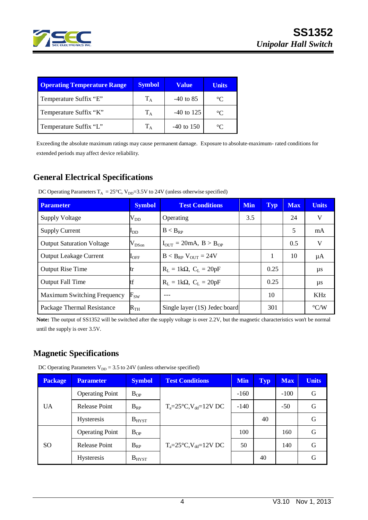

| <b>Operating Temperature Range</b> | <b>Symbol</b> | <b>Value</b> | <b>Units</b> |
|------------------------------------|---------------|--------------|--------------|
| Temperature Suffix "E"             | $T_A$         | $-40$ to 85  | $^{\circ}C$  |
| Temperature Suffix "K"             | $T_A$         | $-40$ to 125 | $^{\circ}C$  |
| Temperature Suffix "L"             | $T_A$         | $-40$ to 150 | $\circ$      |

Exceeding the absolute maximum ratings may cause permanent damage. Exposure to absolute-maximum- rated conditions for extended periods may affect device reliability.

# **General Electrical Specifications**

| <b>Parameter</b>                   | <b>Symbol</b>          | <b>Test Conditions</b>                             | <b>Min</b> | Typ  | <b>Max</b> | <b>Units</b>       |
|------------------------------------|------------------------|----------------------------------------------------|------------|------|------------|--------------------|
| <b>Supply Voltage</b>              | $\rm V_{DD}$           | Operating                                          | 3.5        |      | 24         | V                  |
| <b>Supply Current</b>              | $I_{DD}$               | $B < B_{RP}$                                       |            |      | 5          | mA                 |
| <b>Output Saturation Voltage</b>   | $V_{DSon}$             | $I_{\text{OUT}} = 20 \text{mA}, B > B_{\text{OP}}$ |            |      | 0.5        | V                  |
| <b>Output Leakage Current</b>      | $\mathbf{I}_{\rm OFF}$ | $B < B_{RP}$ $V_{OUT} = 24V$                       |            |      | 10         | μA                 |
| <b>Output Rise Time</b>            | tr                     | $R_L = 1k\Omega$ , $C_L = 20pF$                    |            | 0.25 |            | $\mu s$            |
| <b>Output Fall Time</b>            |                        | $R_L = 1k\Omega$ , $C_L = 20pF$                    |            | 0.25 |            | $\mu s$            |
| <b>Maximum Switching Frequency</b> | $F_{SW}$               |                                                    |            | 10   |            | <b>KHz</b>         |
| Package Thermal Resistance         | $\rm R_{TH}$           | Single layer (1S) Jedec board                      |            | 301  |            | $\rm ^{\circ} C/W$ |

DC Operating Parameters  $T_A = 25^{\circ}$ C, V<sub>DD</sub>=3.5V to 24V (unless otherwise specified)

**Note:** The output of SS1352 will be switched after the supply voltage is over 2.2V, but the magnetic characteristics won't be normal until the supply is over 3.5V.

# **Magnetic Specifications**

DC Operating Parameters  $V_{DD} = 3.5$  to 24V (unless otherwise specified)

| <b>Package</b> | <b>Parameter</b>       | <b>Symbol</b>   | <b>Test Conditions</b>                  | <b>Min</b> | <b>Typ</b> | <b>Max</b> | <b>Units</b> |
|----------------|------------------------|-----------------|-----------------------------------------|------------|------------|------------|--------------|
| <b>UA</b>      | <b>Operating Point</b> | $B_{OP}$        |                                         | $-160$     |            | $-100$     | G            |
|                | Release Point          | $B_{RP}$        | $T_a = 25^{\circ}C$ , $V_{dd} = 12V$ DC | $-140$     |            | $-50$      | G            |
|                | <b>Hysteresis</b>      | $B_{H YST}$     |                                         |            | 40         |            | G            |
| SO.            | <b>Operating Point</b> | $B_{OP}$        |                                         | 100        |            | 160        | G            |
|                | Release Point          | $B_{RP}$        | $T_a = 25^{\circ}C$ , $V_{dd} = 12V$ DC | 50         |            | 140        | G            |
|                | <b>Hysteresis</b>      | $B_{\rm H YST}$ |                                         |            | 40         |            | G            |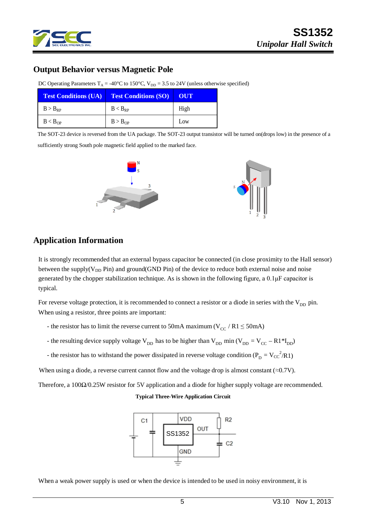

# **SS1352** *Unipolar Hall Switch*

### **Output Behavior versus Magnetic Pole**

| <b>Test Conditions (UA) Test Conditions (SO)</b> |                     | <b>LOUT</b> |
|--------------------------------------------------|---------------------|-------------|
| $B > B_{RP}$                                     | $B < B_{RP}$        | High        |
| B < B <sub>OP</sub>                              | B > B <sub>OP</sub> | Low         |

DC Operating Parameters  $T_A = -40^{\circ}C$  to 150°C,  $V_{DD} = 3.5$  to 24V (unless otherwise specified)

The SOT-23 device is reversed from the UA package. The SOT-23 output transistor will be turned on(drops low) in the presence of a sufficiently strong South pole magnetic field applied to the marked face.



# **Application Information**

It is strongly recommended that an external bypass capacitor be connected (in close proximity to the Hall sensor) between the supply( $V_{DD}$  Pin) and ground(GND Pin) of the device to reduce both external noise and noise generated by the chopper stabilization technique. As is shown in the following figure, a 0.1μF capacitor is typical.

For reverse voltage protection, it is recommended to connect a resistor or a diode in series with the  $V_{DD}$  pin. When using a resistor, three points are important:

- the resistor has to limit the reverse current to 50mA maximum ( $V_{CC}$  / R1  $\leq$  50mA)
- the resulting device supply voltage  $V_{DD}$  has to be higher than  $V_{DD}$  min ( $V_{DD} = V_{CC} R1*I_{DD}$ )
- the resistor has to withstand the power dissipated in reverse voltage condition ( $P_D = V_{CC}^2 / R1$ )

When using a diode, a reverse current cannot flow and the voltage drop is almost constant ( $\approx 0.7V$ ).

Therefore, a 100Ω/0.25W resistor for 5V application and a diode for higher supply voltage are recommended.

#### **Typical Three-Wire Application Circuit**



When a weak power supply is used or when the device is intended to be used in noisy environment, it is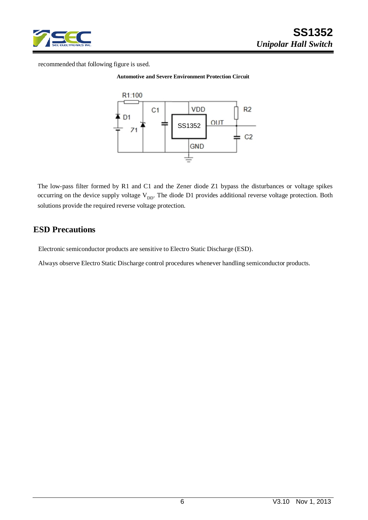

recommended that following figure is used.

#### **Automotive and Severe Environment Protection Circuit**



The low-pass filter formed by R1 and C1 and the Zener diode Z1 bypass the disturbances or voltage spikes occurring on the device supply voltage  $V_{DD}$ . The diode D1 provides additional reverse voltage protection. Both solutions provide the required reverse voltage protection.

### **ESD Precautions**

Electronic semiconductor products are sensitive to Electro Static Discharge (ESD).

Always observe Electro Static Discharge control procedures whenever handling semiconductor products.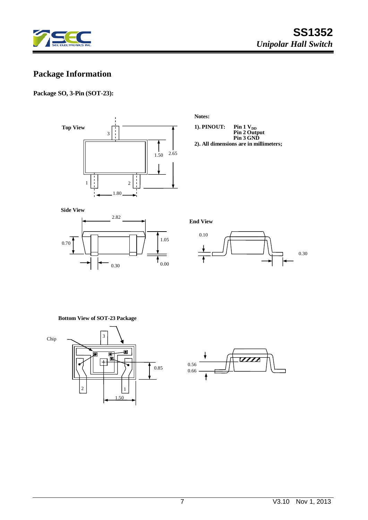

# **Package Information**

### **Package SO, 3-Pin (SOT-23):**

**Top View**  $\frac{1}{1}$ 3  $1.50$  2.65  $\frac{1}{1}$  $\begin{array}{c|c|c|c|c} 1 & 2 \\ \hline \end{array}$ 1.80

**Notes:**

**1). PINOUT: Pin 1 V<sub>DD</sub><br>Pin 2 Output<br>Pin 3 GND** 

**2). All dimensions are in millimeters;**





**End View**



#### **Bottom View of SOT-23 Package**